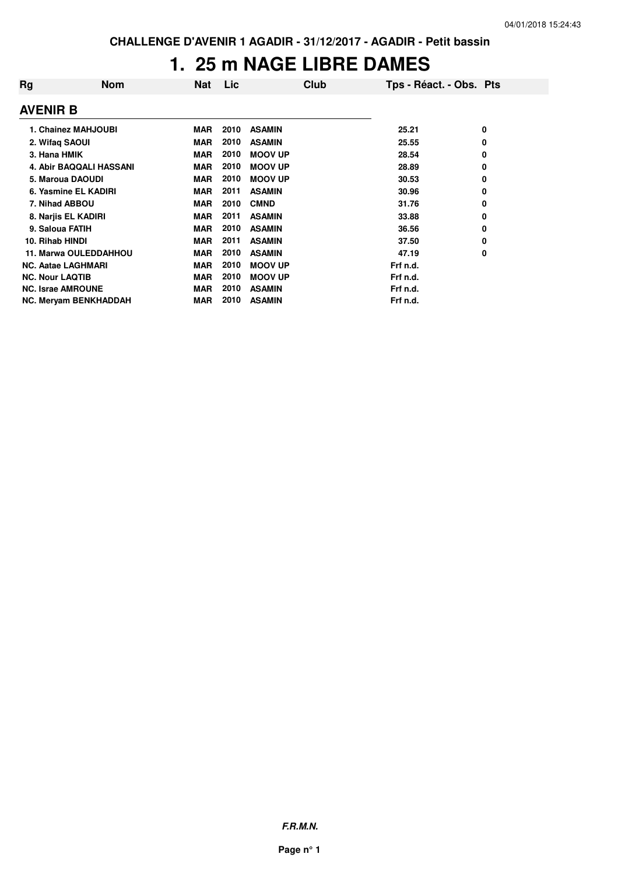### **1. 25 m NAGE LIBRE DAMES**

| Rg                        | <b>Nom</b>                   | <b>Nat</b> | Lic. | Club           | Tps - Réact. - Obs. Pts |   |
|---------------------------|------------------------------|------------|------|----------------|-------------------------|---|
| <b>AVENIR B</b>           |                              |            |      |                |                         |   |
|                           | 1. Chainez MAHJOUBI          | <b>MAR</b> | 2010 | <b>ASAMIN</b>  | 25.21                   | 0 |
| 2. Wifaq SAOUI            |                              | <b>MAR</b> | 2010 | <b>ASAMIN</b>  | 25.55                   | 0 |
| 3. Hana HMIK              |                              | MAR        | 2010 | <b>MOOV UP</b> | 28.54                   | 0 |
|                           | 4. Abir BAQQALI HASSANI      | <b>MAR</b> | 2010 | <b>MOOV UP</b> | 28.89                   | 0 |
|                           | 5. Maroua DAOUDI             | MAR        | 2010 | <b>MOOV UP</b> | 30.53                   | 0 |
|                           | 6. Yasmine EL KADIRI         | MAR        | 2011 | <b>ASAMIN</b>  | 30.96                   | 0 |
| 7. Nihad ABBOU            |                              | MAR        | 2010 | <b>CMND</b>    | 31.76                   | 0 |
|                           | 8. Narjis EL KADIRI          | MAR        | 2011 | <b>ASAMIN</b>  | 33.88                   | 0 |
| 9. Saloua FATIH           |                              | <b>MAR</b> | 2010 | <b>ASAMIN</b>  | 36.56                   | 0 |
| 10. Rihab HINDI           |                              | MAR        | 2011 | <b>ASAMIN</b>  | 37.50                   | 0 |
|                           | <b>11. Marwa OULEDDAHHOU</b> | <b>MAR</b> | 2010 | <b>ASAMIN</b>  | 47.19                   | 0 |
| <b>NC. Aatae LAGHMARI</b> |                              | <b>MAR</b> | 2010 | <b>MOOV UP</b> | Frf n.d.                |   |
| <b>NC. Nour LAQTIB</b>    |                              | <b>MAR</b> | 2010 | <b>MOOV UP</b> | Frf n.d.                |   |
| <b>NC. Israe AMROUNE</b>  |                              | <b>MAR</b> | 2010 | <b>ASAMIN</b>  | Frf n.d.                |   |
|                           | NC. Meryam BENKHADDAH        | MAR        | 2010 | <b>ASAMIN</b>  | Frf n.d.                |   |

**F.R.M.N.**

**Page n° 1**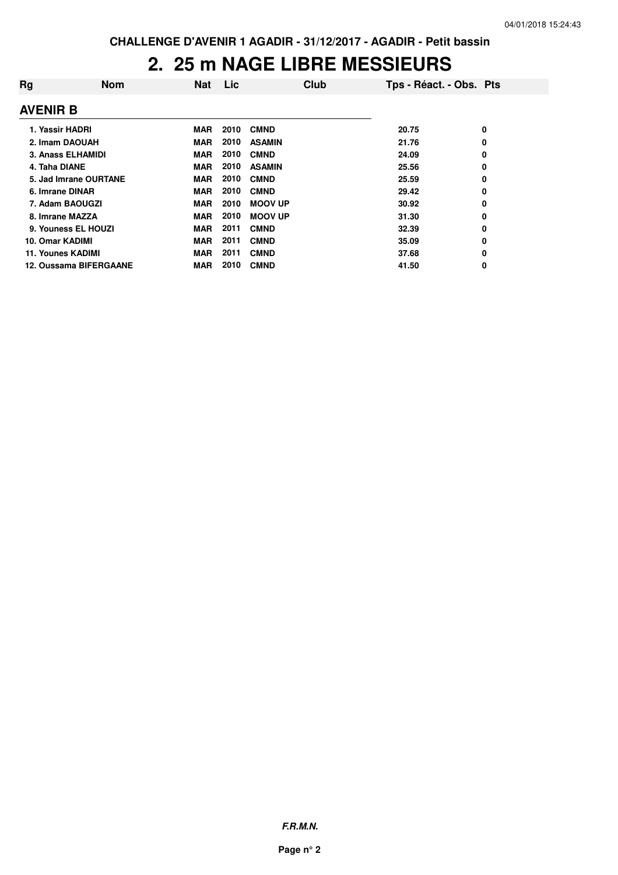## **2. 25 m NAGE LIBRE MESSIEURS**

| Rg                | <b>Nom</b>                    | <b>Nat</b> | Lic  | Club           | Tps - Réact. - Obs. Pts |   |
|-------------------|-------------------------------|------------|------|----------------|-------------------------|---|
| <b>AVENIR B</b>   |                               |            |      |                |                         |   |
| 1. Yassir HADRI   |                               | <b>MAR</b> | 2010 | <b>CMND</b>    | 20.75                   | 0 |
| 2. Imam DAOUAH    |                               | MAR        | 2010 | <b>ASAMIN</b>  | 21.76                   | 0 |
|                   | 3. Anass ELHAMIDI             | <b>MAR</b> | 2010 | <b>CMND</b>    | 24.09                   | 0 |
| 4. Taha DIANE     |                               | <b>MAR</b> | 2010 | <b>ASAMIN</b>  | 25.56                   | 0 |
|                   | 5. Jad Imrane OURTANE         | <b>MAR</b> | 2010 | <b>CMND</b>    | 25.59                   | 0 |
| 6. Imrane DINAR   |                               | <b>MAR</b> | 2010 | <b>CMND</b>    | 29.42                   | 0 |
| 7. Adam BAOUGZI   |                               | <b>MAR</b> | 2010 | <b>MOOV UP</b> | 30.92                   | 0 |
| 8. Imrane MAZZA   |                               | <b>MAR</b> | 2010 | <b>MOOV UP</b> | 31.30                   | 0 |
|                   | 9. Youness EL HOUZI           | <b>MAR</b> | 2011 | <b>CMND</b>    | 32.39                   | 0 |
| 10. Omar KADIMI   |                               | <b>MAR</b> | 2011 | <b>CMND</b>    | 35.09                   | 0 |
| 11. Younes KADIMI |                               | <b>MAR</b> | 2011 | <b>CMND</b>    | 37.68                   | 0 |
|                   | <b>12. Oussama BIFERGAANE</b> | <b>MAR</b> | 2010 | <b>CMND</b>    | 41.50                   | 0 |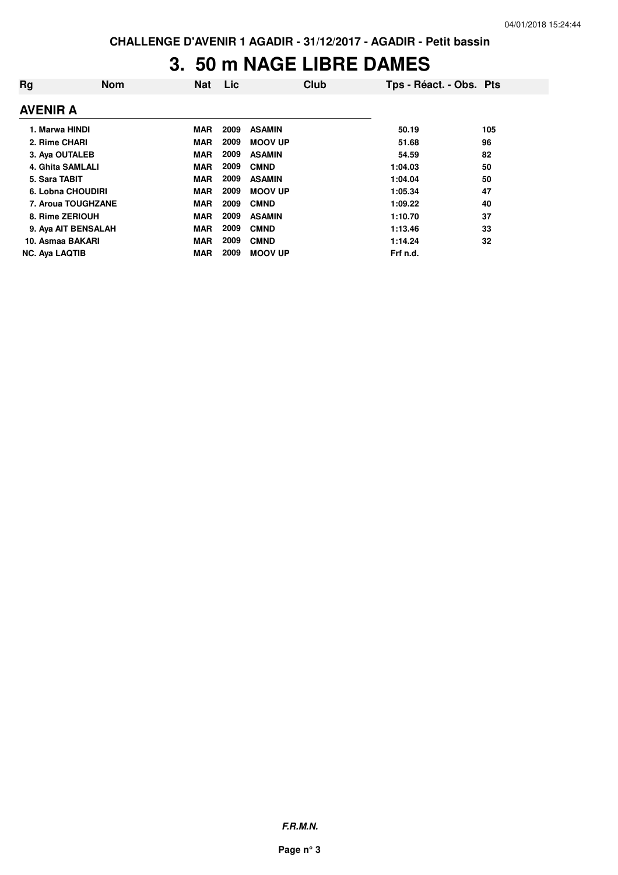### **3. 50 m NAGE LIBRE DAMES**

| Rg                    | <b>Nom</b>              | <b>Nat</b> | Lic  | Club           | Tps - Réact. - Obs. Pts |     |
|-----------------------|-------------------------|------------|------|----------------|-------------------------|-----|
| <b>AVENIR A</b>       |                         |            |      |                |                         |     |
| 1. Marwa HINDI        |                         | <b>MAR</b> | 2009 | <b>ASAMIN</b>  | 50.19                   | 105 |
| 2. Rime CHARI         |                         | <b>MAR</b> | 2009 | <b>MOOV UP</b> | 51.68                   | 96  |
| 3. Aya OUTALEB        |                         | <b>MAR</b> | 2009 | <b>ASAMIN</b>  | 54.59                   | 82  |
|                       | <b>4. Ghita SAMLALI</b> | <b>MAR</b> | 2009 | <b>CMND</b>    | 1:04.03                 | 50  |
| 5. Sara TABIT         |                         | <b>MAR</b> | 2009 | <b>ASAMIN</b>  | 1:04.04                 | 50  |
|                       | 6. Lobna CHOUDIRI       | <b>MAR</b> | 2009 | <b>MOOV UP</b> | 1:05.34                 | 47  |
|                       | 7. Aroua TOUGHZANE      | <b>MAR</b> | 2009 | <b>CMND</b>    | 1:09.22                 | 40  |
|                       | 8. Rime ZERIOUH         | <b>MAR</b> | 2009 | <b>ASAMIN</b>  | 1:10.70                 | 37  |
|                       | 9. Aya AIT BENSALAH     | <b>MAR</b> | 2009 | <b>CMND</b>    | 1:13.46                 | 33  |
| 10. Asmaa BAKARI      |                         | <b>MAR</b> | 2009 | <b>CMND</b>    | 1:14.24                 | 32  |
| <b>NC. Ava LAQTIB</b> |                         | <b>MAR</b> | 2009 | <b>MOOV UP</b> | Frf n.d.                |     |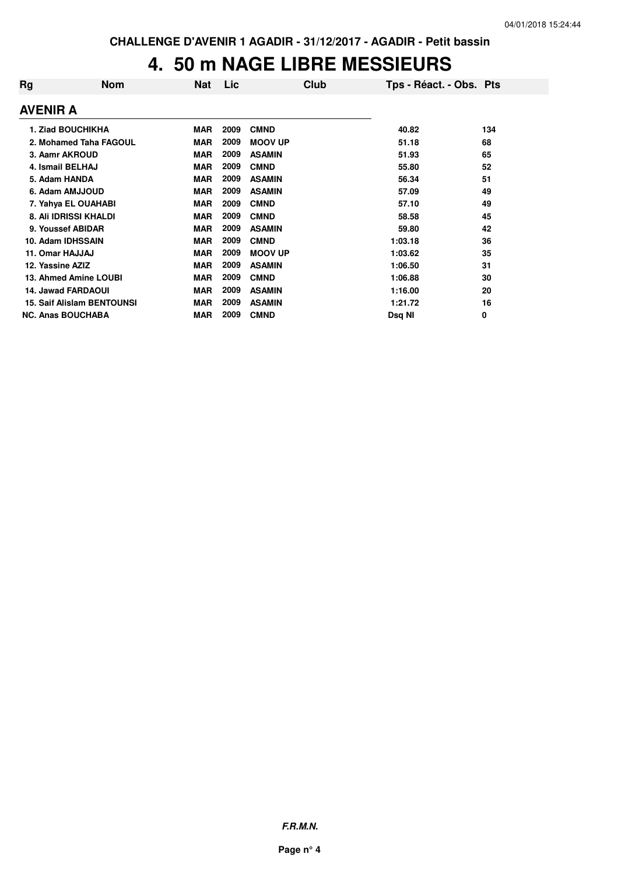## **4. 50 m NAGE LIBRE MESSIEURS**

| Rg                | <b>Nom</b>                        | Nat        | <b>Lic</b> | <b>Club</b>    | Tps - Réact. - Obs. Pts |             |
|-------------------|-----------------------------------|------------|------------|----------------|-------------------------|-------------|
| AVENIR A          |                                   |            |            |                |                         |             |
|                   | 1. Ziad BOUCHIKHA                 | <b>MAR</b> | 2009       | <b>CMND</b>    | 40.82                   | 134         |
|                   | 2. Mohamed Taha FAGOUL            | <b>MAR</b> | 2009       | <b>MOOV UP</b> | 51.18                   | 68          |
| 3. Aamr AKROUD    |                                   | <b>MAR</b> | 2009       | <b>ASAMIN</b>  | 51.93                   | 65          |
| 4. Ismail BELHAJ  |                                   | <b>MAR</b> | 2009       | <b>CMND</b>    | 55.80                   | 52          |
| 5. Adam HANDA     |                                   | <b>MAR</b> | 2009       | <b>ASAMIN</b>  | 56.34                   | 51          |
|                   | 6. Adam AMJJOUD                   | <b>MAR</b> | 2009       | <b>ASAMIN</b>  | 57.09                   | 49          |
|                   | 7. Yahya EL OUAHABI               | <b>MAR</b> | 2009       | <b>CMND</b>    | 57.10                   | 49          |
|                   | 8. Ali IDRISSI KHALDI             | <b>MAR</b> | 2009       | <b>CMND</b>    | 58.58                   | 45          |
|                   | 9. Youssef ABIDAR                 | <b>MAR</b> | 2009       | <b>ASAMIN</b>  | 59.80                   | 42          |
| 10. Adam IDHSSAIN |                                   | <b>MAR</b> | 2009       | <b>CMND</b>    | 1:03.18                 | 36          |
| 11. Omar HAJJAJ   |                                   | <b>MAR</b> | 2009       | <b>MOOV UP</b> | 1:03.62                 | 35          |
| 12. Yassine AZIZ  |                                   | <b>MAR</b> | 2009       | <b>ASAMIN</b>  | 1:06.50                 | 31          |
|                   | 13. Ahmed Amine LOUBI             | <b>MAR</b> | 2009       | <b>CMND</b>    | 1:06.88                 | 30          |
|                   | <b>14. Jawad FARDAOUI</b>         | <b>MAR</b> | 2009       | <b>ASAMIN</b>  | 1:16.00                 | 20          |
|                   | <b>15. Saif Alislam BENTOUNSI</b> | <b>MAR</b> | 2009       | <b>ASAMIN</b>  | 1:21.72                 | 16          |
|                   | <b>NC. Anas BOUCHABA</b>          | <b>MAR</b> | 2009       | <b>CMND</b>    | Dsq NI                  | $\mathbf 0$ |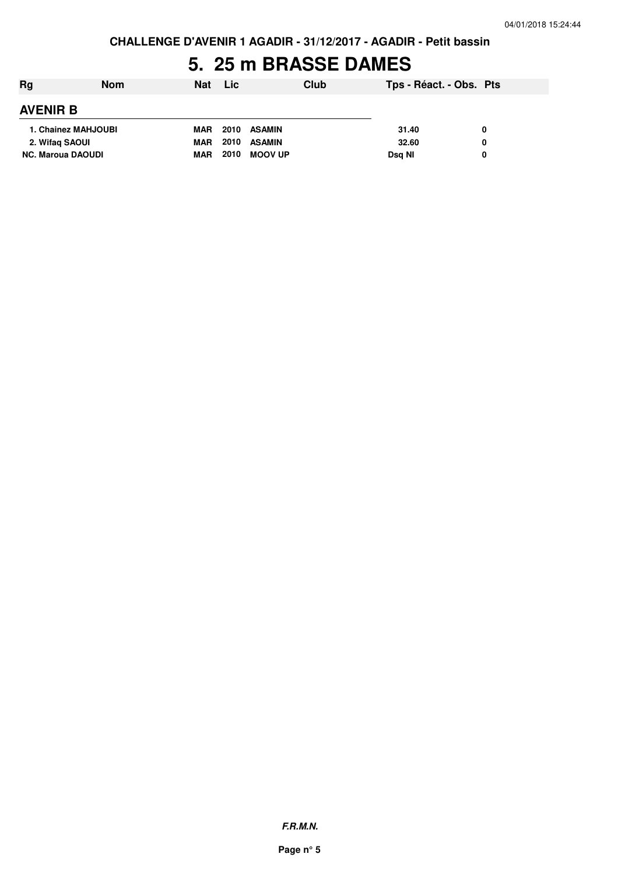**CHALLENGE D'AVENIR 1 AGADIR - 31/12/2017 - AGADIR - Petit bassin**

### **5. 25 m BRASSE DAMES**

| Rg                       | <b>Nom</b> | <b>Nat</b> | <b>Lic</b> | Club           | Tps - Réact. - Obs. Pts |   |  |
|--------------------------|------------|------------|------------|----------------|-------------------------|---|--|
| <b>AVENIR B</b>          |            |            |            |                |                         |   |  |
| 1. Chainez MAHJOUBI      |            | <b>MAR</b> | 2010       | ASAMIN         | 31.40                   | 0 |  |
| 2. Wifaq SAOUI           |            | <b>MAR</b> | 2010       | <b>ASAMIN</b>  | 32.60                   | 0 |  |
| <b>NC. Maroua DAOUDI</b> |            | <b>MAR</b> | 2010       | <b>MOOV UP</b> | Dsg NI                  | 0 |  |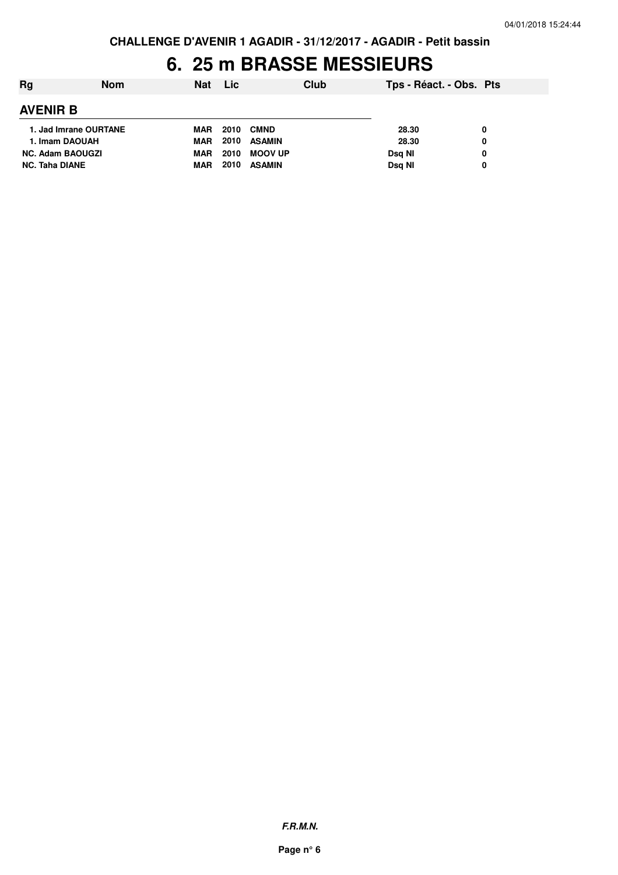### **6. 25 m BRASSE MESSIEURS**

| Rg                      | <b>Nom</b> | <b>Nat</b> | <b>Lic</b> |                | Club | Tps - Réact. - Obs. Pts |   |  |
|-------------------------|------------|------------|------------|----------------|------|-------------------------|---|--|
| <b>AVENIR B</b>         |            |            |            |                |      |                         |   |  |
| 1. Jad Imrane OURTANE   |            | <b>MAR</b> | 2010       | <b>CMND</b>    |      | 28.30                   | 0 |  |
| 1. Imam DAOUAH          |            | <b>MAR</b> | 2010       | <b>ASAMIN</b>  |      | 28.30                   | 0 |  |
| <b>NC. Adam BAOUGZI</b> |            | <b>MAR</b> | 2010       | <b>MOOV UP</b> |      | Dsg NI                  | 0 |  |
| <b>NC. Taha DIANE</b>   |            | <b>MAR</b> | 2010       | <b>ASAMIN</b>  |      | Dsg NI                  | 0 |  |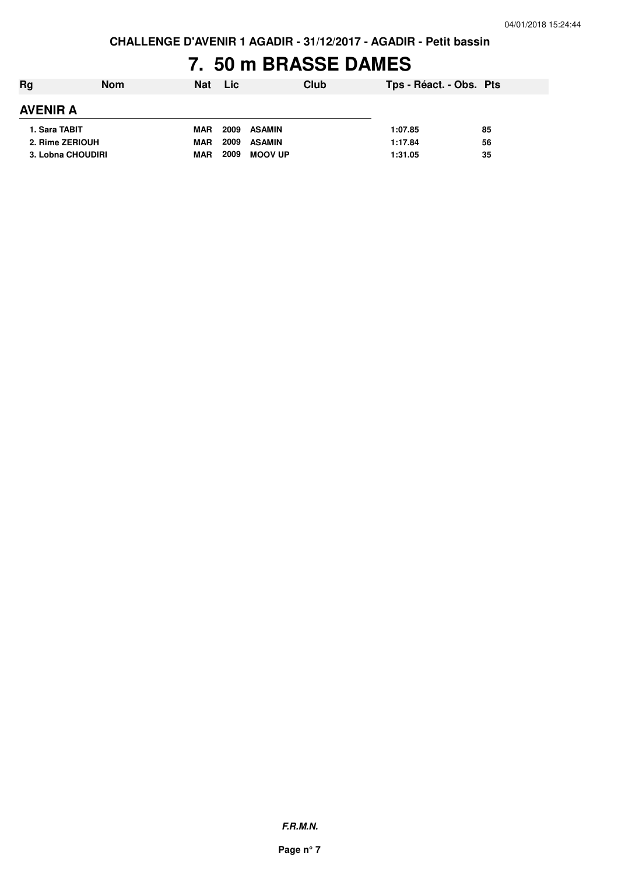**CHALLENGE D'AVENIR 1 AGADIR - 31/12/2017 - AGADIR - Petit bassin**

### **7. 50 m BRASSE DAMES**

| Rg              | <b>Nom</b>        | <b>Nat</b> | <b>Lic</b> | Club           | Tps - Réact. - Obs. Pts |    |
|-----------------|-------------------|------------|------------|----------------|-------------------------|----|
| <b>AVENIR A</b> |                   |            |            |                |                         |    |
| 1. Sara TABIT   |                   | <b>MAR</b> | 2009       | ASAMIN         | 1:07.85                 | 85 |
| 2. Rime ZERIOUH |                   | <b>MAR</b> | 2009       | <b>ASAMIN</b>  | 1:17.84                 | 56 |
|                 | 3. Lobna CHOUDIRI | <b>MAR</b> | 2009       | <b>MOOV UP</b> | 1:31.05                 | 35 |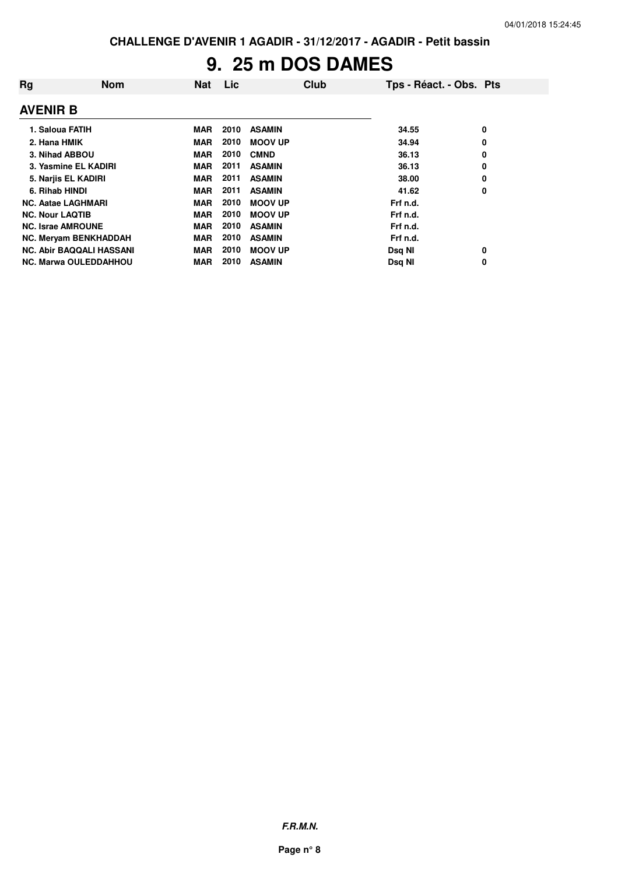# **9. 25 m DOS DAMES**

| Rg                              | <b>Nom</b> | <b>Nat</b> | Lic  | Club           | Tps - Réact. - Obs. Pts |   |
|---------------------------------|------------|------------|------|----------------|-------------------------|---|
| <b>AVENIR B</b>                 |            |            |      |                |                         |   |
| 1. Saloua FATIH                 |            | MAR        | 2010 | <b>ASAMIN</b>  | 34.55                   | 0 |
| 2. Hana HMIK                    |            | <b>MAR</b> | 2010 | <b>MOOV UP</b> | 34.94                   | 0 |
| 3. Nihad ABBOU                  |            | <b>MAR</b> | 2010 | <b>CMND</b>    | 36.13                   | 0 |
| 3. Yasmine EL KADIRI            |            | <b>MAR</b> | 2011 | <b>ASAMIN</b>  | 36.13                   | 0 |
| 5. Narjis EL KADIRI             |            | <b>MAR</b> | 2011 | <b>ASAMIN</b>  | 38.00                   | 0 |
| 6. Rihab HINDI                  |            | <b>MAR</b> | 2011 | <b>ASAMIN</b>  | 41.62                   | 0 |
| <b>NC. Aatae LAGHMARI</b>       |            | <b>MAR</b> | 2010 | <b>MOOV UP</b> | Frf n.d.                |   |
| <b>NC. Nour LAQTIB</b>          |            | <b>MAR</b> | 2010 | <b>MOOV UP</b> | Frf n.d.                |   |
| <b>NC. Israe AMROUNE</b>        |            | <b>MAR</b> | 2010 | <b>ASAMIN</b>  | Frf n.d.                |   |
| NC. Meryam BENKHADDAH           |            | <b>MAR</b> | 2010 | <b>ASAMIN</b>  | Frf n.d.                |   |
| <b>NC. Abir BAQQALI HASSANI</b> |            | <b>MAR</b> | 2010 | <b>MOOV UP</b> | Dsq NI                  | 0 |
| <b>NC. Marwa OULEDDAHHOU</b>    |            | <b>MAR</b> | 2010 | <b>ASAMIN</b>  | Dsg NI                  | 0 |

**F.R.M.N.**

**Page n° 8**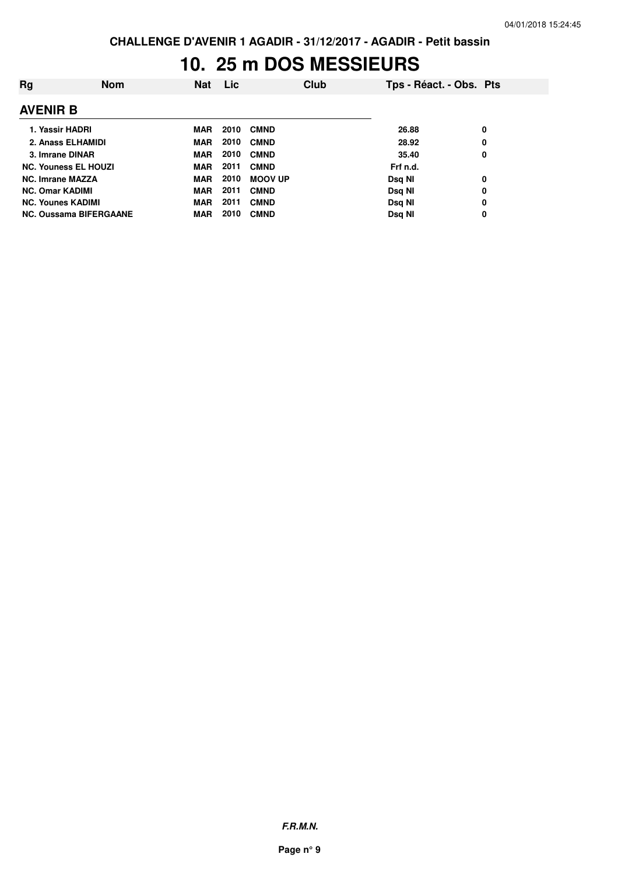### **10. 25 m DOS MESSIEURS**

| Rg                       | <b>Nom</b>                    | <b>Nat</b> | Lic  | Club           |          | Tps - Réact. - Obs. Pts |
|--------------------------|-------------------------------|------------|------|----------------|----------|-------------------------|
| <b>AVENIR B</b>          |                               |            |      |                |          |                         |
| 1. Yassir HADRI          |                               | MAR        | 2010 | <b>CMND</b>    | 26.88    | 0                       |
| 2. Anass ELHAMIDI        |                               | MAR        | 2010 | <b>CMND</b>    | 28.92    | 0                       |
| 3. Imrane DINAR          |                               | <b>MAR</b> | 2010 | <b>CMND</b>    | 35.40    | 0                       |
|                          | <b>NC. Youness EL HOUZI</b>   | <b>MAR</b> | 2011 | <b>CMND</b>    | Frf n.d. |                         |
| <b>NC. Imrane MAZZA</b>  |                               | <b>MAR</b> | 2010 | <b>MOOV UP</b> | Dsg NI   | 0                       |
| <b>NC. Omar KADIMI</b>   |                               | <b>MAR</b> | 2011 | <b>CMND</b>    | Dsg NI   | 0                       |
| <b>NC. Younes KADIMI</b> |                               | <b>MAR</b> | 2011 | <b>CMND</b>    | Dsq NI   | 0                       |
|                          | <b>NC. Oussama BIFERGAANE</b> | <b>MAR</b> | 2010 | <b>CMND</b>    | Dsq NI   | 0                       |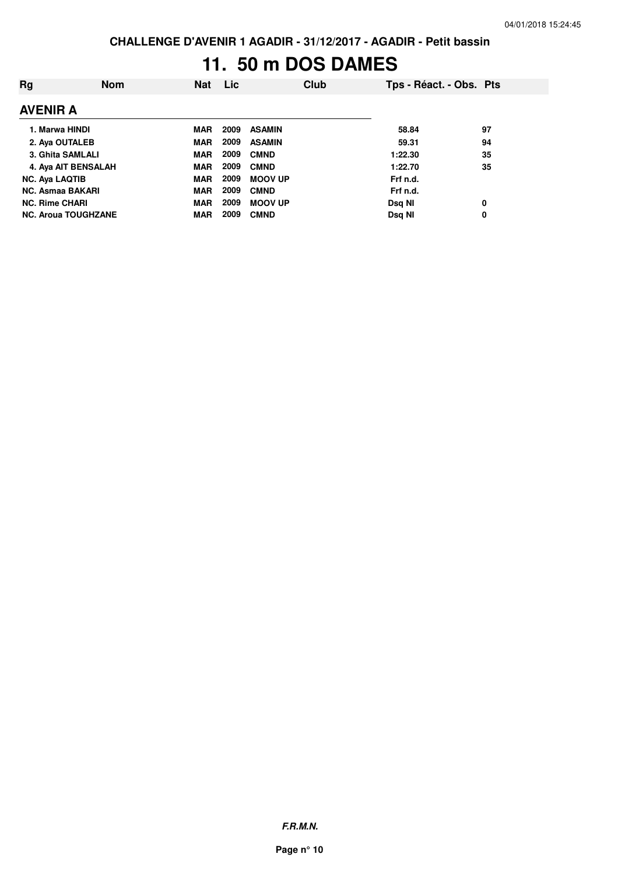## **11. 50 m DOS DAMES**

| Rg                         | <b>Nom</b> | <b>Nat</b> | <b>Lic</b> |                | Club | Tps - Réact. - Obs. Pts |    |
|----------------------------|------------|------------|------------|----------------|------|-------------------------|----|
| <b>AVENIR A</b>            |            |            |            |                |      |                         |    |
| 1. Marwa HINDI             |            | <b>MAR</b> | 2009       | <b>ASAMIN</b>  |      | 58.84                   | 97 |
| 2. Aya OUTALEB             |            | <b>MAR</b> | 2009       | <b>ASAMIN</b>  |      | 59.31                   | 94 |
| 3. Ghita SAMLALI           |            | <b>MAR</b> | 2009       | <b>CMND</b>    |      | 1:22.30                 | 35 |
| 4. Aya AIT BENSALAH        |            | <b>MAR</b> | 2009       | <b>CMND</b>    |      | 1:22.70                 | 35 |
| <b>NC. Ava LAQTIB</b>      |            | <b>MAR</b> | 2009       | <b>MOOV UP</b> |      | Frf n.d.                |    |
| <b>NC. Asmaa BAKARI</b>    |            | <b>MAR</b> | 2009       | <b>CMND</b>    |      | Frf n.d.                |    |
| <b>NC. Rime CHARI</b>      |            | <b>MAR</b> | 2009       | <b>MOOV UP</b> |      | Dsg NI                  | 0  |
| <b>NC. Aroua TOUGHZANE</b> |            | <b>MAR</b> | 2009       | <b>CMND</b>    |      | Dsg NI                  | 0  |

**F.R.M.N.**

**Page n° 10**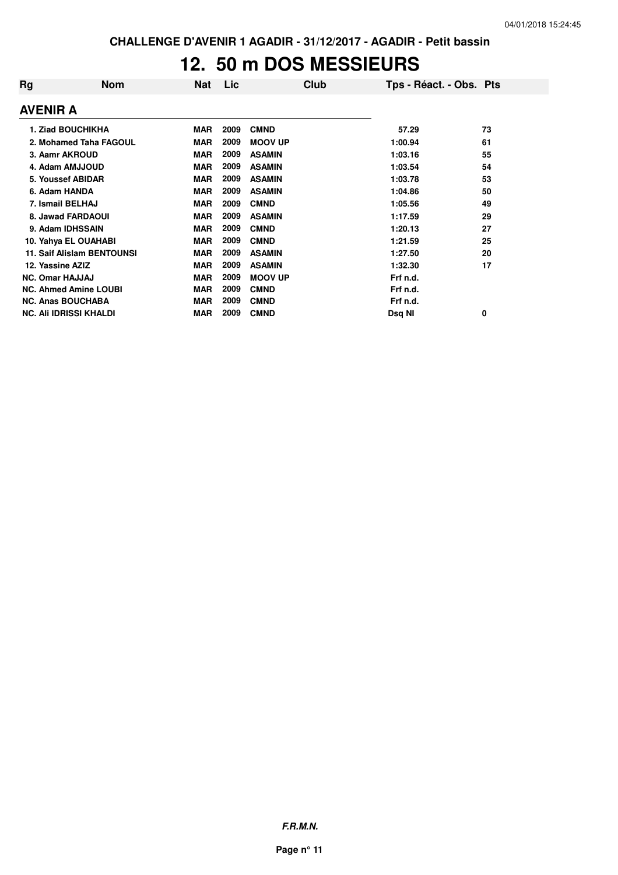### **12. 50 m DOS MESSIEURS**

| Rg              | <b>Nom</b>                        | Nat        | Lic  | Club           | Tps - Réact. - Obs. Pts |    |
|-----------------|-----------------------------------|------------|------|----------------|-------------------------|----|
| <b>AVENIR A</b> |                                   |            |      |                |                         |    |
|                 | <b>1. Ziad BOUCHIKHA</b>          | <b>MAR</b> | 2009 | <b>CMND</b>    | 57.29                   | 73 |
|                 | 2. Mohamed Taha FAGOUL            | <b>MAR</b> | 2009 | <b>MOOV UP</b> | 1:00.94                 | 61 |
|                 | 3. Aamr AKROUD                    | <b>MAR</b> | 2009 | <b>ASAMIN</b>  | 1:03.16                 | 55 |
|                 | 4. Adam AMJJOUD                   | <b>MAR</b> | 2009 | <b>ASAMIN</b>  | 1:03.54                 | 54 |
|                 | 5. Youssef ABIDAR                 | <b>MAR</b> | 2009 | <b>ASAMIN</b>  | 1:03.78                 | 53 |
|                 | 6. Adam HANDA                     | <b>MAR</b> | 2009 | <b>ASAMIN</b>  | 1:04.86                 | 50 |
|                 | 7. Ismail BELHAJ                  | <b>MAR</b> | 2009 | <b>CMND</b>    | 1:05.56                 | 49 |
|                 | 8. Jawad FARDAOUI                 | <b>MAR</b> | 2009 | <b>ASAMIN</b>  | 1:17.59                 | 29 |
|                 | 9. Adam IDHSSAIN                  | <b>MAR</b> | 2009 | <b>CMND</b>    | 1:20.13                 | 27 |
|                 | 10. Yahya EL OUAHABI              | <b>MAR</b> | 2009 | <b>CMND</b>    | 1:21.59                 | 25 |
|                 | <b>11. Saif Alislam BENTOUNSI</b> | <b>MAR</b> | 2009 | <b>ASAMIN</b>  | 1:27.50                 | 20 |
|                 | 12. Yassine AZIZ                  | <b>MAR</b> | 2009 | <b>ASAMIN</b>  | 1:32.30                 | 17 |
|                 | <b>NC. Omar HAJJAJ</b>            | <b>MAR</b> | 2009 | <b>MOOV UP</b> | Frf n.d.                |    |
|                 | <b>NC. Ahmed Amine LOUBI</b>      | <b>MAR</b> | 2009 | <b>CMND</b>    | Frf n.d.                |    |
|                 | <b>NC. Anas BOUCHABA</b>          | <b>MAR</b> | 2009 | <b>CMND</b>    | Frf n.d.                |    |
|                 | <b>NC. Ali IDRISSI KHALDI</b>     | <b>MAR</b> | 2009 | <b>CMND</b>    | Dsq NI                  | 0  |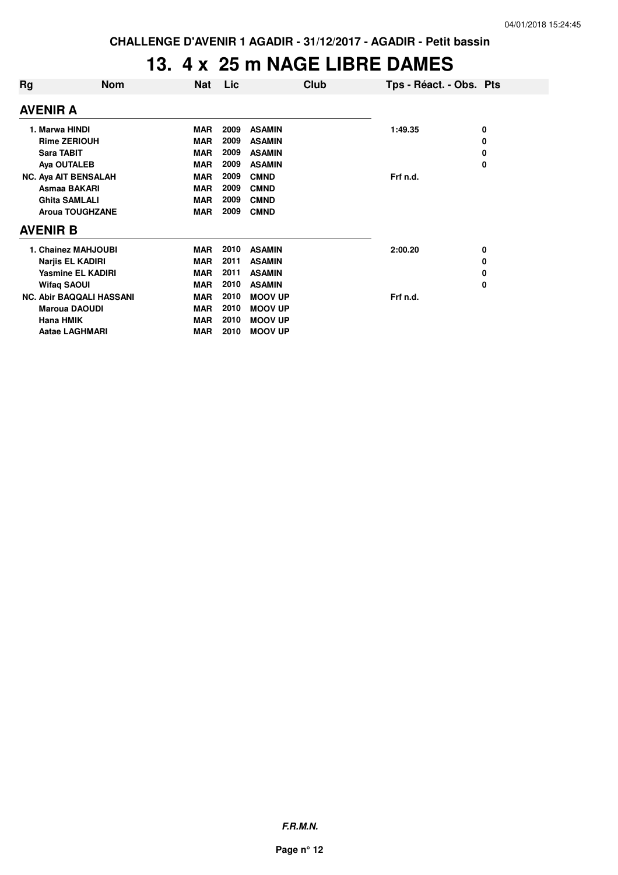### **13. 4 x 25 m NAGE LIBRE DAMES**

| Rg | <b>Nom</b>                      | <b>Nat</b> | Lic  | Club           | Tps - Réact. - Obs. Pts |   |
|----|---------------------------------|------------|------|----------------|-------------------------|---|
|    | AVENIR A                        |            |      |                |                         |   |
|    | 1. Marwa HINDI                  | <b>MAR</b> | 2009 | <b>ASAMIN</b>  | 1:49.35                 | 0 |
|    | <b>Rime ZERIOUH</b>             | <b>MAR</b> | 2009 | <b>ASAMIN</b>  |                         | 0 |
|    | <b>Sara TABIT</b>               | <b>MAR</b> | 2009 | <b>ASAMIN</b>  |                         | 0 |
|    | Aya OUTALEB                     | <b>MAR</b> | 2009 | <b>ASAMIN</b>  |                         | 0 |
|    | <b>NC. Aya AIT BENSALAH</b>     | <b>MAR</b> | 2009 | <b>CMND</b>    | Frf n.d.                |   |
|    | Asmaa BAKARI                    | <b>MAR</b> | 2009 | <b>CMND</b>    |                         |   |
|    | <b>Ghita SAMLALI</b>            | <b>MAR</b> | 2009 | <b>CMND</b>    |                         |   |
|    | <b>Aroua TOUGHZANE</b>          | <b>MAR</b> | 2009 | <b>CMND</b>    |                         |   |
|    | AVENIR B                        |            |      |                |                         |   |
|    | 1. Chainez MAHJOUBI             | <b>MAR</b> | 2010 | <b>ASAMIN</b>  | 2:00.20                 | 0 |
|    | <b>Narjis EL KADIRI</b>         | <b>MAR</b> | 2011 | <b>ASAMIN</b>  |                         | 0 |
|    | <b>Yasmine EL KADIRI</b>        | <b>MAR</b> | 2011 | <b>ASAMIN</b>  |                         | 0 |
|    | <b>Wifaq SAOUI</b>              | <b>MAR</b> | 2010 | <b>ASAMIN</b>  |                         | 0 |
|    | <b>NC. Abir BAQQALI HASSANI</b> | <b>MAR</b> | 2010 | <b>MOOV UP</b> | Frf n.d.                |   |
|    | <b>Maroua DAOUDI</b>            | <b>MAR</b> | 2010 | <b>MOOV UP</b> |                         |   |
|    | <b>Hana HMIK</b>                | <b>MAR</b> | 2010 | <b>MOOV UP</b> |                         |   |
|    | <b>Aatae LAGHMARI</b>           | <b>MAR</b> | 2010 | <b>MOOV UP</b> |                         |   |